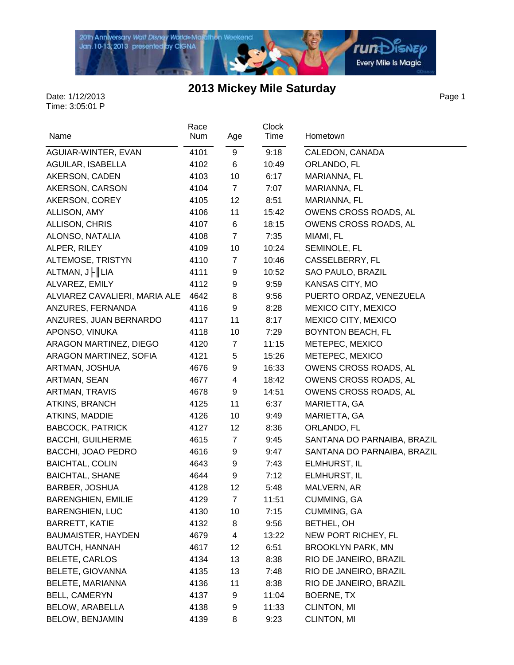

Page 1

| Name                           | Race<br>Num | Age            | <b>Clock</b><br>Time | Hometown                    |
|--------------------------------|-------------|----------------|----------------------|-----------------------------|
|                                |             |                |                      |                             |
| AGUIAR-WINTER, EVAN            | 4101        | 9              | 9:18                 | CALEDON, CANADA             |
| AGUILAR, ISABELLA              | 4102        | 6              | 10:49                | ORLANDO, FL                 |
| AKERSON, CADEN                 | 4103        | 10             | 6:17                 | MARIANNA, FL                |
| AKERSON, CARSON                | 4104        | $\overline{7}$ | 7:07                 | MARIANNA, FL                |
| AKERSON, COREY                 | 4105        | 12             | 8:51                 | MARIANNA, FL                |
| ALLISON, AMY                   | 4106        | 11             | 15:42                | OWENS CROSS ROADS, AL       |
| ALLISON, CHRIS                 | 4107        | 6              | 18:15                | OWENS CROSS ROADS, AL       |
| ALONSO, NATALIA                | 4108        | $\overline{7}$ | 7:35                 | MIAMI, FL                   |
| ALPER, RILEY                   | 4109        | 10             | 10:24                | SEMINOLE, FL                |
| ALTEMOSE, TRISTYN              | 4110        | $\overline{7}$ | 10:46                | CASSELBERRY, FL             |
| ALTMAN, $J \mid \parallel LIA$ | 4111        | 9              | 10:52                | SAO PAULO, BRAZIL           |
| ALVAREZ, EMILY                 | 4112        | 9              | 9:59                 | KANSAS CITY, MO             |
| ALVIAREZ CAVALIERI, MARIA ALE  | 4642        | 8              | 9:56                 | PUERTO ORDAZ, VENEZUELA     |
| ANZURES, FERNANDA              | 4116        | 9              | 8:28                 | MEXICO CITY, MEXICO         |
| ANZURES, JUAN BERNARDO         | 4117        | 11             | 8:17                 | MEXICO CITY, MEXICO         |
| APONSO, VINUKA                 | 4118        | 10             | 7:29                 | <b>BOYNTON BEACH, FL</b>    |
| ARAGON MARTINEZ, DIEGO         | 4120        | $\overline{7}$ | 11:15                | METEPEC, MEXICO             |
| ARAGON MARTINEZ, SOFIA         | 4121        | 5              | 15:26                | METEPEC, MEXICO             |
| ARTMAN, JOSHUA                 | 4676        | 9              | 16:33                | OWENS CROSS ROADS, AL       |
| ARTMAN, SEAN                   | 4677        | 4              | 18:42                | OWENS CROSS ROADS, AL       |
| ARTMAN, TRAVIS                 | 4678        | 9              | 14:51                | OWENS CROSS ROADS, AL       |
| ATKINS, BRANCH                 | 4125        | 11             | 6:37                 | MARIETTA, GA                |
| ATKINS, MADDIE                 | 4126        | 10             | 9:49                 | MARIETTA, GA                |
| <b>BABCOCK, PATRICK</b>        | 4127        | 12             | 8:36                 | ORLANDO, FL                 |
| <b>BACCHI, GUILHERME</b>       | 4615        | 7              | 9:45                 | SANTANA DO PARNAIBA, BRAZIL |
| BACCHI, JOAO PEDRO             | 4616        | 9              | 9:47                 | SANTANA DO PARNAIBA, BRAZIL |
| <b>BAICHTAL, COLIN</b>         | 4643        | 9              | 7:43                 | ELMHURST, IL                |
| <b>BAICHTAL, SHANE</b>         | 4644        | 9              | 7:12                 | ELMHURST, IL                |
| <b>BARBER, JOSHUA</b>          | 4128        | 12             | 5:48                 | MALVERN, AR                 |
| <b>BARENGHIEN, EMILIE</b>      | 4129        | $\overline{7}$ | 11:51                | CUMMING, GA                 |
| <b>BARENGHIEN, LUC</b>         | 4130        | 10             | 7:15                 | CUMMING, GA                 |
| <b>BARRETT, KATIE</b>          | 4132        | 8              | 9:56                 | BETHEL, OH                  |
| <b>BAUMAISTER, HAYDEN</b>      | 4679        | 4              | 13:22                | NEW PORT RICHEY, FL         |
| <b>BAUTCH, HANNAH</b>          | 4617        | 12             | 6:51                 | <b>BROOKLYN PARK, MN</b>    |
| <b>BELETE, CARLOS</b>          | 4134        | 13             | 8:38                 | RIO DE JANEIRO, BRAZIL      |
| BELETE, GIOVANNA               | 4135        | 13             | 7:48                 | RIO DE JANEIRO, BRAZIL      |
| BELETE, MARIANNA               | 4136        | 11             | 8:38                 | RIO DE JANEIRO, BRAZIL      |
| <b>BELL, CAMERYN</b>           | 4137        | 9              | 11:04                | BOERNE, TX                  |
| BELOW, ARABELLA                | 4138        | 9              | 11:33                | CLINTON, MI                 |
| <b>BELOW, BENJAMIN</b>         | 4139        | 8              | 9:23                 | <b>CLINTON, MI</b>          |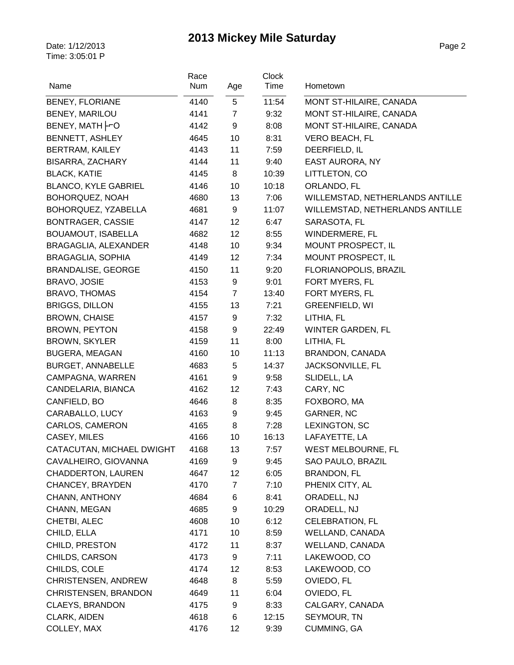|                             | Race |                | Clock |                                 |
|-----------------------------|------|----------------|-------|---------------------------------|
| Name                        | Num  | Age            | Time  | Hometown                        |
| <b>BENEY, FLORIANE</b>      | 4140 | 5              | 11:54 | MONT ST-HILAIRE, CANADA         |
| BENEY, MARILOU              | 4141 | $\overline{7}$ | 9:32  | MONT ST-HILAIRE, CANADA         |
| BENEY, MATH -O              | 4142 | 9              | 8:08  | MONT ST-HILAIRE, CANADA         |
| <b>BENNETT, ASHLEY</b>      | 4645 | 10             | 8:31  | <b>VERO BEACH, FL</b>           |
| <b>BERTRAM, KAILEY</b>      | 4143 | 11             | 7:59  | DEERFIELD, IL                   |
| BISARRA, ZACHARY            | 4144 | 11             | 9:40  | <b>EAST AURORA, NY</b>          |
| <b>BLACK, KATIE</b>         | 4145 | 8              | 10:39 | LITTLETON, CO                   |
| <b>BLANCO, KYLE GABRIEL</b> | 4146 | 10             | 10:18 | ORLANDO, FL                     |
| BOHORQUEZ, NOAH             | 4680 | 13             | 7:06  | WILLEMSTAD, NETHERLANDS ANTILLE |
| BOHORQUEZ, YZABELLA         | 4681 | 9              | 11:07 | WILLEMSTAD, NETHERLANDS ANTILLE |
| <b>BONTRAGER, CASSIE</b>    | 4147 | 12             | 6:47  | SARASOTA, FL                    |
| BOUAMOUT, ISABELLA          | 4682 | 12             | 8:55  | WINDERMERE, FL                  |
| BRAGAGLIA, ALEXANDER        | 4148 | 10             | 9:34  | MOUNT PROSPECT, IL              |
| BRAGAGLIA, SOPHIA           | 4149 | 12             | 7:34  | MOUNT PROSPECT, IL              |
| <b>BRANDALISE, GEORGE</b>   | 4150 | 11             | 9:20  | FLORIANOPOLIS, BRAZIL           |
| BRAVO, JOSIE                | 4153 | 9              | 9:01  | FORT MYERS, FL                  |
| <b>BRAVO, THOMAS</b>        | 4154 | $\overline{7}$ | 13:40 | FORT MYERS, FL                  |
| <b>BRIGGS, DILLON</b>       | 4155 | 13             | 7:21  | <b>GREENFIELD, WI</b>           |
| <b>BROWN, CHAISE</b>        | 4157 | 9              | 7:32  | LITHIA, FL                      |
| <b>BROWN, PEYTON</b>        | 4158 | 9              | 22:49 | WINTER GARDEN, FL               |
| <b>BROWN, SKYLER</b>        | 4159 | 11             | 8:00  | LITHIA, FL                      |
| <b>BUGERA, MEAGAN</b>       | 4160 | 10             | 11:13 | BRANDON, CANADA                 |
| <b>BURGET, ANNABELLE</b>    | 4683 | 5              | 14:37 | JACKSONVILLE, FL                |
| CAMPAGNA, WARREN            | 4161 | 9              | 9:58  | SLIDELL, LA                     |
| CANDELARIA, BIANCA          | 4162 | 12             | 7:43  | CARY, NC                        |
| CANFIELD, BO                | 4646 | 8              | 8:35  | FOXBORO, MA                     |
| CARABALLO, LUCY             | 4163 | 9              | 9:45  | GARNER, NC                      |
| CARLOS, CAMERON             | 4165 | 8              | 7:28  | LEXINGTON, SC                   |
| CASEY, MILES                | 4166 | 10             | 16:13 | LAFAYETTE, LA                   |
| CATACUTAN, MICHAEL DWIGHT   | 4168 | 13             | 7:57  | WEST MELBOURNE, FL              |
| CAVALHEIRO, GIOVANNA        | 4169 | 9              | 9:45  | SAO PAULO, BRAZIL               |
| <b>CHADDERTON, LAUREN</b>   | 4647 | 12             | 6:05  | <b>BRANDON, FL</b>              |
| CHANCEY, BRAYDEN            | 4170 | 7              | 7:10  | PHENIX CITY, AL                 |
| CHANN, ANTHONY              | 4684 | 6              | 8:41  | ORADELL, NJ                     |
| CHANN, MEGAN                | 4685 | 9              | 10:29 | ORADELL, NJ                     |
| CHETBI, ALEC                | 4608 | 10             | 6:12  | <b>CELEBRATION, FL</b>          |
| CHILD, ELLA                 | 4171 | 10             | 8:59  | <b>WELLAND, CANADA</b>          |
| CHILD, PRESTON              | 4172 | 11             | 8:37  | WELLAND, CANADA                 |
| CHILDS, CARSON              | 4173 | 9              | 7:11  | LAKEWOOD, CO                    |
| CHILDS, COLE                | 4174 | 12             | 8:53  | LAKEWOOD, CO                    |
| CHRISTENSEN, ANDREW         | 4648 | 8              | 5:59  | OVIEDO, FL                      |
| CHRISTENSEN, BRANDON        | 4649 | 11             | 6:04  | OVIEDO, FL                      |
| <b>CLAEYS, BRANDON</b>      | 4175 | 9              | 8:33  | CALGARY, CANADA                 |
| CLARK, AIDEN                | 4618 | 6              | 12:15 | SEYMOUR, TN                     |
| COLLEY, MAX                 | 4176 | 12             | 9:39  | CUMMING, GA                     |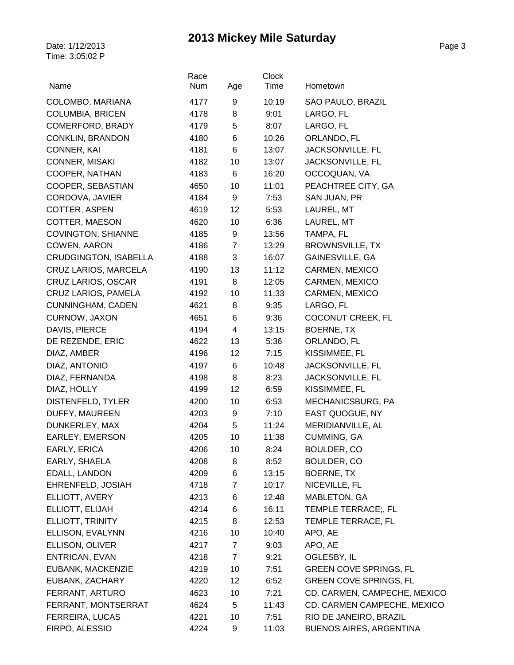| Name                         | Race<br>Num | Age            | <b>Clock</b><br>Time | Hometown                      |
|------------------------------|-------------|----------------|----------------------|-------------------------------|
| COLOMBO, MARIANA             | 4177        | 9              | 10:19                | SAO PAULO, BRAZIL             |
| <b>COLUMBIA, BRICEN</b>      | 4178        | 8              | 9:01                 | LARGO, FL                     |
| COMERFORD, BRADY             | 4179        | 5              | 8:07                 | LARGO, FL                     |
| <b>CONKLIN, BRANDON</b>      | 4180        | 6              | 10:26                | ORLANDO, FL                   |
| CONNER, KAI                  | 4181        | 6              | 13:07                | JACKSONVILLE, FL              |
| <b>CONNER, MISAKI</b>        | 4182        | 10             | 13:07                | JACKSONVILLE, FL              |
| COOPER, NATHAN               | 4183        | 6              | 16:20                | OCCOQUAN, VA                  |
| COOPER, SEBASTIAN            | 4650        | 10             | 11:01                | PEACHTREE CITY, GA            |
| CORDOVA, JAVIER              | 4184        | 9              | 7:53                 | SAN JUAN, PR                  |
| COTTER, ASPEN                | 4619        | 12             | 5:53                 | LAUREL, MT                    |
| COTTER, MAESON               | 4620        | 10             | 6:36                 | LAUREL, MT                    |
| <b>COVINGTON, SHIANNE</b>    | 4185        | 9              | 13:56                | TAMPA, FL                     |
| COWEN, AARON                 | 4186        | 7              | 13:29                | <b>BROWNSVILLE, TX</b>        |
| <b>CRUDGINGTON, ISABELLA</b> | 4188        | 3              | 16:07                | GAINESVILLE, GA               |
| CRUZ LARIOS, MARCELA         | 4190        | 13             | 11:12                | CARMEN, MEXICO                |
| CRUZ LARIOS, OSCAR           | 4191        | 8              | 12:05                | CARMEN, MEXICO                |
| CRUZ LARIOS, PAMELA          | 4192        | 10             | 11:33                | CARMEN, MEXICO                |
| <b>CUNNINGHAM, CADEN</b>     | 4621        | 8              | 9:35                 | LARGO, FL                     |
| CURNOW, JAXON                | 4651        | 6              | 9:36                 | <b>COCONUT CREEK, FL</b>      |
| DAVIS, PIERCE                | 4194        | 4              | 13:15                | BOERNE, TX                    |
| DE REZENDE, ERIC             | 4622        | 13             | 5:36                 | ORLANDO, FL                   |
| DIAZ, AMBER                  | 4196        | 12             | 7:15                 | KISSIMMEE, FL                 |
| DIAZ, ANTONIO                | 4197        | 6              | 10:48                | JACKSONVILLE, FL              |
| DIAZ, FERNANDA               | 4198        | 8              | 8:23                 | JACKSONVILLE, FL              |
| DIAZ, HOLLY                  | 4199        | 12             | 6:59                 | KISSIMMEE, FL                 |
| DISTENFELD, TYLER            | 4200        | 10             | 6:53                 | MECHANICSBURG, PA             |
| DUFFY, MAUREEN               | 4203        | 9              | 7:10                 | EAST QUOGUE, NY               |
| DUNKERLEY, MAX               | 4204        | $\,$ 5 $\,$    | 11:24                | MERIDIANVILLE, AL             |
| EARLEY, EMERSON              | 4205        | 10             | 11:38                | CUMMING, GA                   |
| EARLY, ERICA                 | 4206        | 10             | 8:24                 | BOULDER, CO                   |
| EARLY, SHAELA                | 4208        | 8              | 8:52                 | BOULDER, CO                   |
| EDALL, LANDON                | 4209        | 6              | 13:15                | BOERNE, TX                    |
| EHRENFELD, JOSIAH            | 4718        | 7              | 10:17                | NICEVILLE, FL                 |
| ELLIOTT, AVERY               | 4213        | 6              | 12:48                | MABLETON, GA                  |
| ELLIOTT, ELIJAH              | 4214        | 6              | 16:11                | TEMPLE TERRACE;, FL           |
| ELLIOTT, TRINITY             | 4215        | 8              | 12:53                | TEMPLE TERRACE, FL            |
| ELLISON, EVALYNN             | 4216        | 10             | 10:40                | APO, AE                       |
| ELLISON, OLIVER              | 4217        | $\overline{7}$ | 9:03                 | APO, AE                       |
| ENTRICAN, EVAN               | 4218        | $\overline{7}$ | 9:21                 | OGLESBY, IL                   |
| EUBANK, MACKENZIE            | 4219        | 10             | 7:51                 | <b>GREEN COVE SPRINGS, FL</b> |
| EUBANK, ZACHARY              | 4220        | 12             | 6:52                 | <b>GREEN COVE SPRINGS, FL</b> |
| FERRANT, ARTURO              | 4623        | 10             | 7:21                 | CD. CARMEN, CAMPECHE, MEXICO  |
| FERRANT, MONTSERRAT          | 4624        | 5              | 11:43                | CD. CARMEN CAMPECHE, MEXICO   |
| <b>FERREIRA, LUCAS</b>       | 4221        | 10             | 7:51                 | RIO DE JANEIRO, BRAZIL        |
| FIRPO, ALESSIO               | 4224        | 9              | 11:03                | BUENOS AIRES, ARGENTINA       |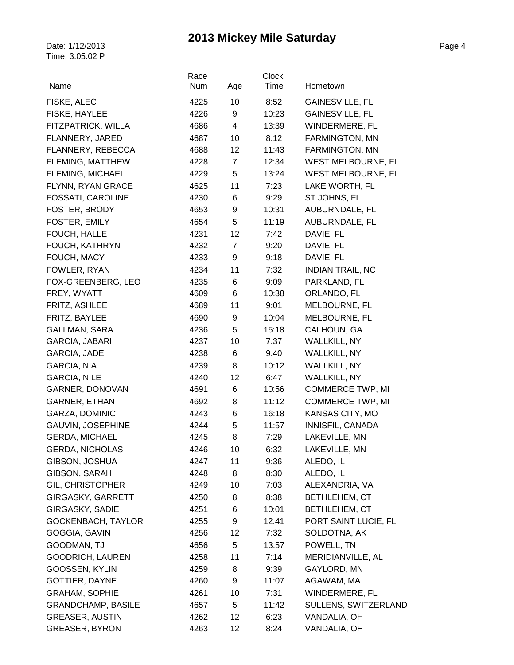| Name                      | Race<br>Num |                | Clock<br>Time | Hometown                  |
|---------------------------|-------------|----------------|---------------|---------------------------|
|                           |             | Age            |               |                           |
| FISKE, ALEC               | 4225        | 10             | 8:52          | GAINESVILLE, FL           |
| FISKE, HAYLEE             | 4226        | 9              | 10:23         | <b>GAINESVILLE, FL</b>    |
| FITZPATRICK, WILLA        | 4686        | 4              | 13:39         | WINDERMERE, FL            |
| FLANNERY, JARED           | 4687        | 10             | 8:12          | FARMINGTON, MN            |
| FLANNERY, REBECCA         | 4688        | 12             | 11:43         | FARMINGTON, MN            |
| FLEMING, MATTHEW          | 4228        | $\overline{7}$ | 12:34         | <b>WEST MELBOURNE, FL</b> |
| FLEMING, MICHAEL          | 4229        | 5              | 13:24         | WEST MELBOURNE, FL        |
| FLYNN, RYAN GRACE         | 4625        | 11             | 7:23          | LAKE WORTH, FL            |
| FOSSATI, CAROLINE         | 4230        | 6              | 9:29          | ST JOHNS, FL              |
| FOSTER, BRODY             | 4653        | 9              | 10:31         | AUBURNDALE, FL            |
| FOSTER, EMILY             | 4654        | 5              | 11:19         | AUBURNDALE, FL            |
| FOUCH, HALLE              | 4231        | 12             | 7:42          | DAVIE, FL                 |
| FOUCH, KATHRYN            | 4232        | $\overline{7}$ | 9:20          | DAVIE, FL                 |
| FOUCH, MACY               | 4233        | 9              | 9:18          | DAVIE, FL                 |
| FOWLER, RYAN              | 4234        | 11             | 7:32          | <b>INDIAN TRAIL, NC</b>   |
| FOX-GREENBERG, LEO        | 4235        | 6              | 9:09          | PARKLAND, FL              |
| FREY, WYATT               | 4609        | 6              | 10:38         | ORLANDO, FL               |
| FRITZ, ASHLEE             | 4689        | 11             | 9:01          | MELBOURNE, FL             |
| FRITZ, BAYLEE             | 4690        | 9              | 10:04         | MELBOURNE, FL             |
| GALLMAN, SARA             | 4236        | 5              | 15:18         | CALHOUN, GA               |
| GARCIA, JABARI            | 4237        | 10             | 7:37          | <b>WALLKILL, NY</b>       |
| GARCIA, JADE              | 4238        | 6              | 9:40          | <b>WALLKILL, NY</b>       |
| GARCIA, NIA               | 4239        | 8              | 10:12         | WALLKILL, NY              |
| <b>GARCIA, NILE</b>       | 4240        | 12             | 6:47          | WALLKILL, NY              |
| GARNER, DONOVAN           | 4691        | 6              | 10:56         | <b>COMMERCE TWP, MI</b>   |
| <b>GARNER, ETHAN</b>      | 4692        | 8              | 11:12         | <b>COMMERCE TWP, MI</b>   |
| GARZA, DOMINIC            | 4243        | 6              | 16:18         | KANSAS CITY, MO           |
| GAUVIN, JOSEPHINE         | 4244        | 5              | 11:57         | INNISFIL, CANADA          |
| <b>GERDA, MICHAEL</b>     | 4245        | 8              | 7:29          | LAKEVILLE, MN             |
| <b>GERDA, NICHOLAS</b>    | 4246        | 10             | 6:32          | LAKEVILLE, MN             |
| GIBSON, JOSHUA            | 4247        | 11             | 9:36          | ALEDO, IL                 |
| GIBSON, SARAH             | 4248        | 8              | 8:30          | ALEDO, IL                 |
| <b>GIL, CHRISTOPHER</b>   | 4249        | 10             | 7:03          | ALEXANDRIA, VA            |
| GIRGASKY, GARRETT         | 4250        | 8              | 8:38          | BETHLEHEM, CT             |
| GIRGASKY, SADIE           | 4251        | 6              | 10:01         | BETHLEHEM, CT             |
| GOCKENBACH, TAYLOR        | 4255        | 9              | 12:41         | PORT SAINT LUCIE, FL      |
| GOGGIA, GAVIN             | 4256        | 12             | 7:32          | SOLDOTNA, AK              |
| GOODMAN, TJ               | 4656        | 5              | 13:57         | POWELL, TN                |
| <b>GOODRICH, LAUREN</b>   | 4258        | 11             | 7:14          | MERIDIANVILLE, AL         |
| GOOSSEN, KYLIN            | 4259        | 8              | 9:39          | GAYLORD, MN               |
| GOTTIER, DAYNE            | 4260        | 9              | 11:07         | AGAWAM, MA                |
| GRAHAM, SOPHIE            | 4261        | 10             | 7:31          | WINDERMERE, FL            |
| <b>GRANDCHAMP, BASILE</b> | 4657        | 5              | 11:42         | SULLENS, SWITZERLAND      |
| <b>GREASER, AUSTIN</b>    | 4262        | 12             | 6:23          | VANDALIA, OH              |
| <b>GREASER, BYRON</b>     | 4263        | 12             | 8:24          | VANDALIA, OH              |
|                           |             |                |               |                           |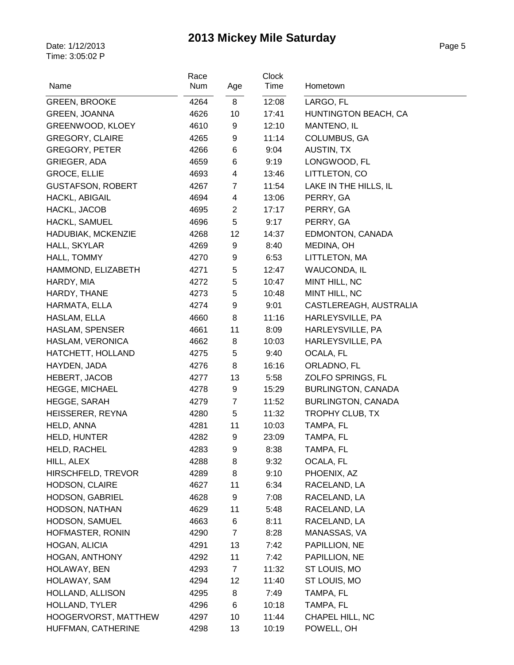| Name                     | Race<br>Num | Age            | <b>Clock</b><br>Time | Hometown                  |
|--------------------------|-------------|----------------|----------------------|---------------------------|
| <b>GREEN, BROOKE</b>     | 4264        | 8              | 12:08                | LARGO, FL                 |
| <b>GREEN, JOANNA</b>     | 4626        | 10             | 17:41                | HUNTINGTON BEACH, CA      |
| GREENWOOD, KLOEY         | 4610        | 9              | 12:10                | MANTENO, IL               |
| <b>GREGORY, CLAIRE</b>   | 4265        | 9              | 11:14                | COLUMBUS, GA              |
| <b>GREGORY, PETER</b>    | 4266        | 6              | 9:04                 | AUSTIN, TX                |
| GRIEGER, ADA             | 4659        | 6              | 9:19                 | LONGWOOD, FL              |
| <b>GROCE, ELLIE</b>      | 4693        | 4              | 13:46                | LITTLETON, CO             |
| <b>GUSTAFSON, ROBERT</b> | 4267        | $\overline{7}$ | 11:54                | LAKE IN THE HILLS, IL     |
| HACKL, ABIGAIL           | 4694        | 4              | 13:06                | PERRY, GA                 |
| HACKL, JACOB             | 4695        | $\overline{c}$ | 17:17                | PERRY, GA                 |
| HACKL, SAMUEL            | 4696        | 5              | 9:17                 | PERRY, GA                 |
| HADUBIAK, MCKENZIE       | 4268        | 12             | 14:37                | EDMONTON, CANADA          |
| HALL, SKYLAR             | 4269        | 9              | 8:40                 | MEDINA, OH                |
| HALL, TOMMY              | 4270        | 9              | 6:53                 | LITTLETON, MA             |
| HAMMOND, ELIZABETH       | 4271        | 5              | 12:47                | <b>WAUCONDA, IL</b>       |
| HARDY, MIA               | 4272        | 5              | 10:47                | MINT HILL, NC             |
| HARDY, THANE             | 4273        | 5              | 10:48                | MINT HILL, NC             |
| HARMATA, ELLA            | 4274        | 9              | 9:01                 | CASTLEREAGH, AUSTRALIA    |
| HASLAM, ELLA             | 4660        | 8              | 11:16                | HARLEYSVILLE, PA          |
| HASLAM, SPENSER          | 4661        | 11             | 8:09                 | HARLEYSVILLE, PA          |
| HASLAM, VERONICA         | 4662        | 8              | 10:03                | HARLEYSVILLE, PA          |
| HATCHETT, HOLLAND        | 4275        | 5              | 9:40                 | OCALA, FL                 |
| HAYDEN, JADA             | 4276        | 8              | 16:16                | ORLADNO, FL               |
| <b>HEBERT, JACOB</b>     | 4277        | 13             | 5:58                 | ZOLFO SPRINGS, FL         |
| <b>HEGGE, MICHAEL</b>    | 4278        | 9              | 15:29                | BURLINGTON, CANADA        |
| HEGGE, SARAH             | 4279        | $\overline{7}$ | 11:52                | <b>BURLINGTON, CANADA</b> |
| HEISSERER, REYNA         | 4280        | 5              | 11:32                | TROPHY CLUB, TX           |
| HELD, ANNA               | 4281        | 11             | 10:03                | TAMPA, FL                 |
| <b>HELD, HUNTER</b>      | 4282        | 9              | 23:09                | TAMPA, FL                 |
| HELD, RACHEL             | 4283        | 9              | 8:38                 | TAMPA, FL                 |
| HILL, ALEX               | 4288        | 8              | 9:32                 | OCALA, FL                 |
| HIRSCHFELD, TREVOR       | 4289        | 8              | 9:10                 | PHOENIX, AZ               |
| HODSON, CLAIRE           | 4627        | 11             | 6:34                 | RACELAND, LA              |
| <b>HODSON, GABRIEL</b>   | 4628        | 9              | 7:08                 | RACELAND, LA              |
| HODSON, NATHAN           | 4629        | 11             | 5:48                 | RACELAND, LA              |
| HODSON, SAMUEL           | 4663        | 6              | 8:11                 | RACELAND, LA              |
| HOFMASTER, RONIN         | 4290        | $\overline{7}$ | 8:28                 | MANASSAS, VA              |
| HOGAN, ALICIA            | 4291        | 13             | 7:42                 | PAPILLION, NE             |
| <b>HOGAN, ANTHONY</b>    | 4292        | 11             | 7:42                 | PAPILLION, NE             |
| HOLAWAY, BEN             | 4293        | $\overline{7}$ | 11:32                | ST LOUIS, MO              |
| HOLAWAY, SAM             | 4294        | 12             | 11:40                | ST LOUIS, MO              |
| HOLLAND, ALLISON         | 4295        | 8              | 7:49                 | TAMPA, FL                 |
| HOLLAND, TYLER           | 4296        | 6              | 10:18                | TAMPA, FL                 |
| HOOGERVORST, MATTHEW     | 4297        | 10             | 11:44                | CHAPEL HILL, NC           |
| HUFFMAN, CATHERINE       | 4298        | 13             | 10:19                | POWELL, OH                |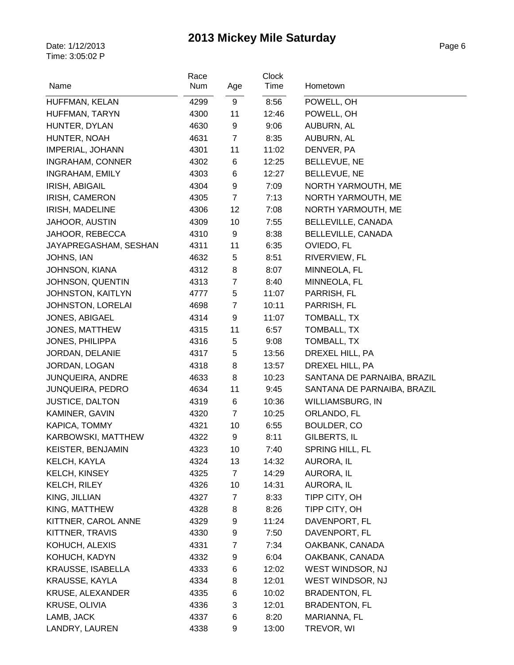| Name                     | Race<br>Num | Age            | <b>Clock</b><br>Time | Hometown                    |
|--------------------------|-------------|----------------|----------------------|-----------------------------|
| HUFFMAN, KELAN           | 4299        | 9              | 8:56                 | POWELL, OH                  |
| HUFFMAN, TARYN           | 4300        | 11             | 12:46                | POWELL, OH                  |
| HUNTER, DYLAN            | 4630        | 9              | 9:06                 | AUBURN, AL                  |
| HUNTER, NOAH             | 4631        | $\overline{7}$ | 8:35                 | AUBURN, AL                  |
| <b>IMPERIAL, JOHANN</b>  | 4301        | 11             | 11:02                | DENVER, PA                  |
| INGRAHAM, CONNER         | 4302        | 6              | 12:25                | BELLEVUE, NE                |
| <b>INGRAHAM, EMILY</b>   | 4303        | 6              | 12:27                | BELLEVUE, NE                |
| IRISH, ABIGAIL           | 4304        | 9              | 7:09                 | NORTH YARMOUTH, ME          |
| IRISH, CAMERON           | 4305        | $\overline{7}$ | 7:13                 | NORTH YARMOUTH, ME          |
| <b>IRISH, MADELINE</b>   | 4306        | 12             | 7:08                 | NORTH YARMOUTH, ME          |
| <b>JAHOOR, AUSTIN</b>    | 4309        | 10             | 7:55                 | <b>BELLEVILLE, CANADA</b>   |
| JAHOOR, REBECCA          | 4310        | 9              | 8:38                 | BELLEVILLE, CANADA          |
| JAYAPREGASHAM, SESHAN    | 4311        | 11             | 6:35                 | OVIEDO, FL                  |
| JOHNS, IAN               | 4632        | 5              | 8:51                 | RIVERVIEW, FL               |
| <b>JOHNSON, KIANA</b>    | 4312        | 8              | 8:07                 | MINNEOLA, FL                |
| JOHNSON, QUENTIN         | 4313        | $\overline{7}$ | 8:40                 | MINNEOLA, FL                |
| JOHNSTON, KAITLYN        | 4777        | 5              | 11:07                | PARRISH, FL                 |
| JOHNSTON, LORELAI        | 4698        | $\overline{7}$ | 10:11                | PARRISH, FL                 |
| JONES, ABIGAEL           | 4314        | 9              | 11:07                | TOMBALL, TX                 |
| JONES, MATTHEW           | 4315        | 11             | 6:57                 | TOMBALL, TX                 |
| <b>JONES, PHILIPPA</b>   | 4316        | 5              | 9:08                 | TOMBALL, TX                 |
| JORDAN, DELANIE          | 4317        | 5              | 13:56                | DREXEL HILL, PA             |
| JORDAN, LOGAN            | 4318        | 8              | 13:57                | DREXEL HILL, PA             |
| JUNQUEIRA, ANDRE         | 4633        | 8              | 10:23                | SANTANA DE PARNAIBA, BRAZIL |
| <b>JUNQUEIRA, PEDRO</b>  | 4634        | 11             | 9:45                 | SANTANA DE PARNAIBA, BRAZIL |
| <b>JUSTICE, DALTON</b>   | 4319        | 6              | 10:36                | WILLIAMSBURG, IN            |
| KAMINER, GAVIN           | 4320        | $\overline{7}$ | 10:25                | ORLANDO, FL                 |
| KAPICA, TOMMY            | 4321        | 10             | 6:55                 | BOULDER, CO                 |
| KARBOWSKI, MATTHEW       | 4322        | 9              | 8:11                 | GILBERTS, IL                |
| KEISTER, BENJAMIN        | 4323        | 10             | 7:40                 | SPRING HILL, FL             |
| KELCH, KAYLA             | 4324        | 13             | 14:32                | AURORA, IL                  |
| KELCH, KINSEY            | 4325        | $\overline{7}$ | 14:29                | AURORA, IL                  |
| KELCH, RILEY             | 4326        | 10             | 14:31                | AURORA, IL                  |
| KING, JILLIAN            | 4327        | $\overline{7}$ | 8:33                 | TIPP CITY, OH               |
| KING, MATTHEW            | 4328        | 8              | 8:26                 | TIPP CITY, OH               |
| KITTNER, CAROL ANNE      | 4329        | 9              | 11:24                | DAVENPORT, FL               |
| KITTNER, TRAVIS          | 4330        | 9              |                      | DAVENPORT, FL               |
| KOHUCH, ALEXIS           |             |                | 7:50                 | OAKBANK, CANADA             |
|                          | 4331        | 7              | 7:34                 |                             |
| KOHUCH, KADYN            | 4332        | 9              | 6:04                 | OAKBANK, CANADA             |
| <b>KRAUSSE, ISABELLA</b> | 4333        | 6              | 12:02                | WEST WINDSOR, NJ            |
| KRAUSSE, KAYLA           | 4334        | 8              | 12:01                | WEST WINDSOR, NJ            |
| KRUSE, ALEXANDER         | 4335        | 6              | 10:02                | <b>BRADENTON, FL</b>        |
| KRUSE, OLIVIA            | 4336        | 3              | 12:01                | <b>BRADENTON, FL</b>        |
| LAMB, JACK               | 4337        | 6              | 8:20                 | MARIANNA, FL                |
| LANDRY, LAUREN           | 4338        | 9              | 13:00                | TREVOR, WI                  |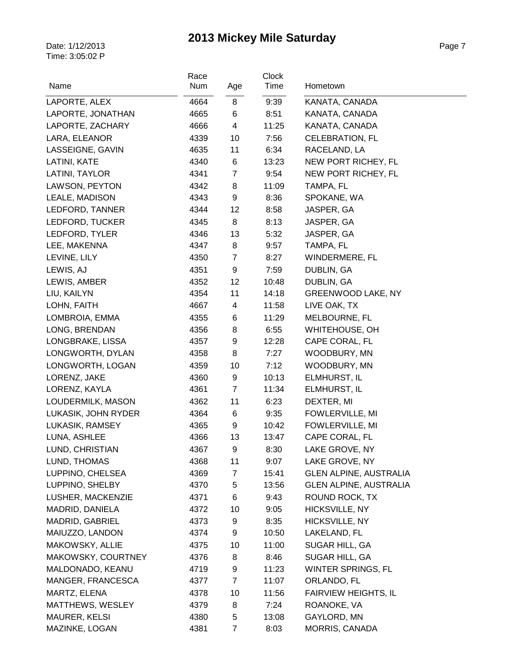| Name                | Race<br>Num | Age            | <b>Clock</b><br>Time | Hometown                      |
|---------------------|-------------|----------------|----------------------|-------------------------------|
| LAPORTE, ALEX       | 4664        | 8              | 9:39                 | KANATA, CANADA                |
| LAPORTE, JONATHAN   | 4665        | 6              | 8:51                 | KANATA, CANADA                |
| LAPORTE, ZACHARY    | 4666        | 4              | 11:25                | KANATA, CANADA                |
| LARA, ELEANOR       | 4339        | 10             | 7:56                 | <b>CELEBRATION, FL</b>        |
| LASSEIGNE, GAVIN    | 4635        | 11             | 6:34                 | RACELAND, LA                  |
| LATINI, KATE        | 4340        | 6              | 13:23                | NEW PORT RICHEY, FL           |
| LATINI, TAYLOR      | 4341        | $\overline{7}$ | 9:54                 | NEW PORT RICHEY, FL           |
| LAWSON, PEYTON      | 4342        | 8              | 11:09                | TAMPA, FL                     |
| LEALE, MADISON      | 4343        | 9              | 8:36                 | SPOKANE, WA                   |
| LEDFORD, TANNER     | 4344        | 12             | 8:58                 | JASPER, GA                    |
| LEDFORD, TUCKER     | 4345        | 8              | 8:13                 | JASPER, GA                    |
| LEDFORD, TYLER      | 4346        | 13             | 5:32                 | JASPER, GA                    |
| LEE, MAKENNA        | 4347        | 8              | 9:57                 | TAMPA, FL                     |
| LEVINE, LILY        | 4350        | $\overline{7}$ | 8:27                 | WINDERMERE, FL                |
| LEWIS, AJ           | 4351        | 9              | 7:59                 | DUBLIN, GA                    |
| LEWIS, AMBER        | 4352        | 12             | 10:48                | DUBLIN, GA                    |
| LIU, KAILYN         | 4354        | 11             | 14:18                | GREENWOOD LAKE, NY            |
| LOHN, FAITH         | 4667        | 4              | 11:58                | LIVE OAK, TX                  |
| LOMBROIA, EMMA      | 4355        | 6              | 11:29                | MELBOURNE, FL                 |
| LONG, BRENDAN       | 4356        | 8              | 6:55                 | WHITEHOUSE, OH                |
| LONGBRAKE, LISSA    | 4357        | 9              | 12:28                | CAPE CORAL, FL                |
| LONGWORTH, DYLAN    | 4358        | 8              | 7:27                 | WOODBURY, MN                  |
| LONGWORTH, LOGAN    | 4359        | 10             | 7:12                 | WOODBURY, MN                  |
| LORENZ, JAKE        | 4360        | 9              | 10:13                | ELMHURST, IL                  |
| LORENZ, KAYLA       | 4361        | $\overline{7}$ | 11:34                | ELMHURST, IL                  |
| LOUDERMILK, MASON   | 4362        | 11             | 6:23                 | DEXTER, MI                    |
| LUKASIK, JOHN RYDER | 4364        | 6              | 9:35                 | FOWLERVILLE, MI               |
| LUKASIK, RAMSEY     | 4365        | 9              | 10:42                | FOWLERVILLE, MI               |
| LUNA, ASHLEE        | 4366        | 13             | 13:47                | CAPE CORAL, FL                |
| LUND, CHRISTIAN     | 4367        | 9              | 8:30                 | LAKE GROVE, NY                |
| LUND, THOMAS        | 4368        | 11             | 9:07                 | LAKE GROVE, NY                |
| LUPPINO, CHELSEA    | 4369        | 7              | 15:41                | <b>GLEN ALPINE, AUSTRALIA</b> |
| LUPPINO, SHELBY     | 4370        | 5              | 13:56                | <b>GLEN ALPINE, AUSTRALIA</b> |
| LUSHER, MACKENZIE   | 4371        | 6              | 9:43                 | ROUND ROCK, TX                |
| MADRID, DANIELA     | 4372        | 10             | 9:05                 | HICKSVILLE, NY                |
| MADRID, GABRIEL     | 4373        | 9              | 8:35                 | HICKSVILLE, NY                |
| MAIUZZO, LANDON     | 4374        | 9              | 10:50                | LAKELAND, FL                  |
| MAKOWSKY, ALLIE     | 4375        | 10             | 11:00                | SUGAR HILL, GA                |
| MAKOWSKY, COURTNEY  | 4376        | 8              | 8:46                 | SUGAR HILL, GA                |
| MALDONADO, KEANU    | 4719        | 9              | 11:23                | WINTER SPRINGS, FL            |
| MANGER, FRANCESCA   | 4377        | $\overline{7}$ | 11:07                | ORLANDO, FL                   |
| MARTZ, ELENA        | 4378        | 10             | 11:56                | <b>FAIRVIEW HEIGHTS, IL</b>   |
| MATTHEWS, WESLEY    | 4379        | 8              | 7:24                 | ROANOKE, VA                   |
| MAURER, KELSI       | 4380        | 5              | 13:08                | GAYLORD, MN                   |
| MAZINKE, LOGAN      | 4381        | $\overline{7}$ | 8:03                 | MORRIS, CANADA                |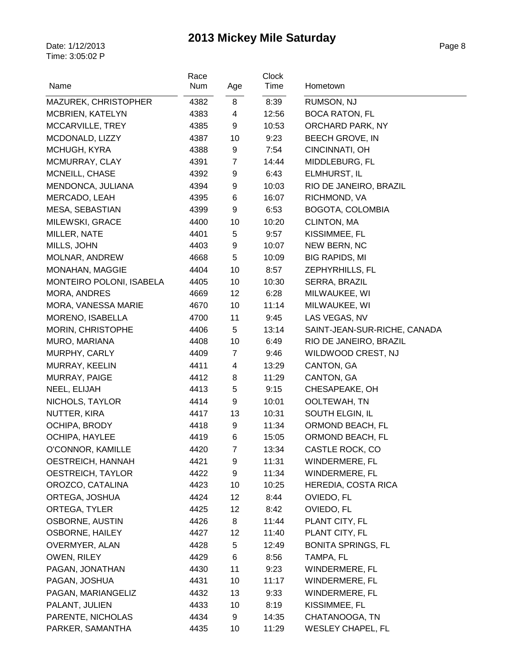| Name                     | Race<br>Num | Age            | <b>Clock</b><br>Time | Hometown                     |
|--------------------------|-------------|----------------|----------------------|------------------------------|
| MAZUREK, CHRISTOPHER     | 4382        | 8              | 8:39                 | RUMSON, NJ                   |
| MCBRIEN, KATELYN         | 4383        | 4              | 12:56                | <b>BOCA RATON, FL</b>        |
| MCCARVILLE, TREY         | 4385        | 9              | 10:53                | ORCHARD PARK, NY             |
| MCDONALD, LIZZY          | 4387        | 10             | 9:23                 | <b>BEECH GROVE, IN</b>       |
| MCHUGH, KYRA             | 4388        | 9              | 7:54                 | CINCINNATI, OH               |
| MCMURRAY, CLAY           | 4391        | $\overline{7}$ | 14:44                | MIDDLEBURG, FL               |
| MCNEILL, CHASE           | 4392        | 9              | 6:43                 | ELMHURST, IL                 |
| MENDONCA, JULIANA        | 4394        | 9              | 10:03                | RIO DE JANEIRO, BRAZIL       |
| MERCADO, LEAH            | 4395        | 6              | 16:07                | RICHMOND, VA                 |
| MESA, SEBASTIAN          | 4399        | 9              | 6:53                 | BOGOTA, COLOMBIA             |
| MILEWSKI, GRACE          | 4400        | 10             | 10:20                | CLINTON, MA                  |
| MILLER, NATE             | 4401        | 5              | 9:57                 | KISSIMMEE, FL                |
| MILLS, JOHN              | 4403        | 9              | 10:07                | NEW BERN, NC                 |
| MOLNAR, ANDREW           | 4668        | 5              | 10:09                | <b>BIG RAPIDS, MI</b>        |
| MONAHAN, MAGGIE          | 4404        | 10             | 8:57                 | ZEPHYRHILLS, FL              |
| MONTEIRO POLONI, ISABELA | 4405        | 10             | 10:30                | SERRA, BRAZIL                |
| <b>MORA, ANDRES</b>      | 4669        | 12             | 6:28                 | MILWAUKEE, WI                |
| MORA, VANESSA MARIE      | 4670        | 10             | 11:14                | MILWAUKEE, WI                |
| MORENO, ISABELLA         | 4700        | 11             | 9:45                 | LAS VEGAS, NV                |
| <b>MORIN, CHRISTOPHE</b> | 4406        | 5              | 13:14                | SAINT-JEAN-SUR-RICHE, CANADA |
| MURO, MARIANA            | 4408        | 10             | 6:49                 | RIO DE JANEIRO, BRAZIL       |
| MURPHY, CARLY            | 4409        | $\overline{7}$ | 9:46                 | WILDWOOD CREST, NJ           |
| MURRAY, KEELIN           | 4411        | 4              | 13:29                | CANTON, GA                   |
| MURRAY, PAIGE            | 4412        | 8              | 11:29                | CANTON, GA                   |
| NEEL, ELIJAH             | 4413        | 5              | 9:15                 | CHESAPEAKE, OH               |
| NICHOLS, TAYLOR          | 4414        | 9              | 10:01                | OOLTEWAH, TN                 |
| NUTTER, KIRA             | 4417        | 13             | 10:31                | SOUTH ELGIN, IL              |
| OCHIPA, BRODY            | 4418        | 9              | 11:34                | ORMOND BEACH, FL             |
| <b>OCHIPA, HAYLEE</b>    | 4419        | 6              | 15:05                | ORMOND BEACH, FL             |
| O'CONNOR, KAMILLE        | 4420        | 7              | 13:34                | CASTLE ROCK, CO              |
| OESTREICH, HANNAH        | 4421        | 9              | 11:31                | WINDERMERE, FL               |
| OESTREICH, TAYLOR        | 4422        | 9              | 11:34                | WINDERMERE, FL               |
| OROZCO, CATALINA         | 4423        | 10             | 10:25                | HEREDIA, COSTA RICA          |
| ORTEGA, JOSHUA           | 4424        | 12             | 8:44                 | OVIEDO, FL                   |
| ORTEGA, TYLER            | 4425        | 12             | 8:42                 | OVIEDO, FL                   |
| OSBORNE, AUSTIN          | 4426        | 8              | 11:44                | PLANT CITY, FL               |
| <b>OSBORNE, HAILEY</b>   | 4427        | 12             | 11:40                | PLANT CITY, FL               |
| OVERMYER, ALAN           | 4428        | 5              | 12:49                | <b>BONITA SPRINGS, FL</b>    |
| OWEN, RILEY              | 4429        | 6              | 8:56                 | TAMPA, FL                    |
| PAGAN, JONATHAN          | 4430        | 11             | 9:23                 | WINDERMERE, FL               |
| PAGAN, JOSHUA            | 4431        | 10             | 11:17                | WINDERMERE, FL               |
| PAGAN, MARIANGELIZ       | 4432        | 13             | 9:33                 | WINDERMERE, FL               |
| PALANT, JULIEN           | 4433        | 10             | 8:19                 | KISSIMMEE, FL                |
| PARENTE, NICHOLAS        | 4434        | 9              | 14:35                | CHATANOOGA, TN               |
| PARKER, SAMANTHA         | 4435        | 10             | 11:29                | <b>WESLEY CHAPEL, FL</b>     |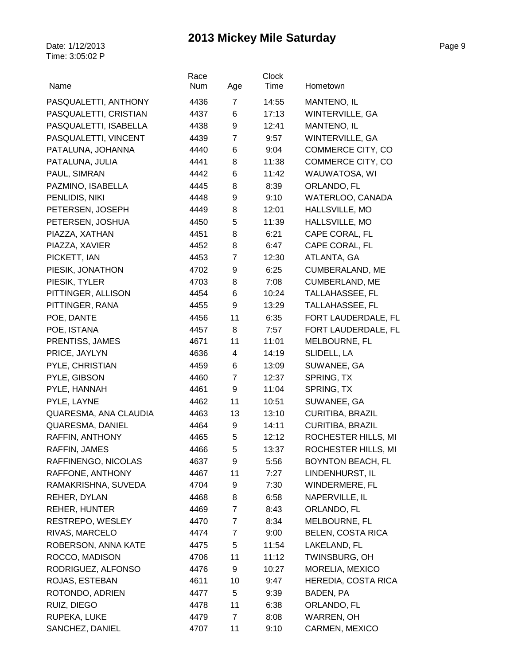| Name                  | Race<br>Num | Age            | <b>Clock</b><br>Time | Hometown                 |
|-----------------------|-------------|----------------|----------------------|--------------------------|
| PASQUALETTI, ANTHONY  | 4436        | $\overline{7}$ | 14:55                | MANTENO, IL              |
| PASQUALETTI, CRISTIAN | 4437        | 6              | 17:13                | <b>WINTERVILLE, GA</b>   |
| PASQUALETTI, ISABELLA | 4438        | 9              | 12:41                | MANTENO, IL              |
| PASQUALETTI, VINCENT  | 4439        | $\overline{7}$ | 9:57                 | WINTERVILLE, GA          |
| PATALUNA, JOHANNA     | 4440        | 6              | 9:04                 | COMMERCE CITY, CO        |
| PATALUNA, JULIA       | 4441        | 8              | 11:38                | COMMERCE CITY, CO        |
| PAUL, SIMRAN          | 4442        | 6              | 11:42                | WAUWATOSA, WI            |
| PAZMINO, ISABELLA     | 4445        | 8              | 8:39                 | ORLANDO, FL              |
| PENLIDIS, NIKI        | 4448        | 9              | 9:10                 | WATERLOO, CANADA         |
| PETERSEN, JOSEPH      | 4449        | 8              | 12:01                | HALLSVILLE, MO           |
| PETERSEN, JOSHUA      | 4450        | 5              | 11:39                | HALLSVILLE, MO           |
| PIAZZA, XATHAN        | 4451        | 8              | 6:21                 | CAPE CORAL, FL           |
| PIAZZA, XAVIER        | 4452        | 8              | 6:47                 | CAPE CORAL, FL           |
| PICKETT, IAN          | 4453        | $\overline{7}$ | 12:30                | ATLANTA, GA              |
| PIESIK, JONATHON      | 4702        | 9              | 6:25                 | CUMBERALAND, ME          |
| PIESIK, TYLER         | 4703        | 8              | 7:08                 | <b>CUMBERLAND, ME</b>    |
| PITTINGER, ALLISON    | 4454        | 6              | 10:24                | TALLAHASSEE, FL          |
| PITTINGER, RANA       | 4455        | 9              | 13:29                | <b>TALLAHASSEE, FL</b>   |
| POE, DANTE            | 4456        | 11             | 6:35                 | FORT LAUDERDALE, FL      |
| POE, ISTANA           | 4457        | 8              | 7:57                 | FORT LAUDERDALE, FL      |
| PRENTISS, JAMES       | 4671        | 11             | 11:01                | MELBOURNE, FL            |
| PRICE, JAYLYN         | 4636        | 4              | 14:19                | SLIDELL, LA              |
| PYLE, CHRISTIAN       | 4459        | 6              | 13:09                | SUWANEE, GA              |
| PYLE, GIBSON          | 4460        | $\overline{7}$ | 12:37                | SPRING, TX               |
| PYLE, HANNAH          | 4461        | 9              | 11:04                | SPRING, TX               |
| PYLE, LAYNE           | 4462        | 11             | 10:51                | SUWANEE, GA              |
| QUARESMA, ANA CLAUDIA | 4463        | 13             | 13:10                | <b>CURITIBA, BRAZIL</b>  |
| QUARESMA, DANIEL      | 4464        | 9              | 14:11                | <b>CURITIBA, BRAZIL</b>  |
| RAFFIN, ANTHONY       | 4465        | 5              | 12:12                | ROCHESTER HILLS, MI      |
| RAFFIN, JAMES         | 4466        | 5              | 13:37                | ROCHESTER HILLS, MI      |
| RAFFINENGO, NICOLAS   | 4637        | 9              | 5:56                 | <b>BOYNTON BEACH, FL</b> |
| RAFFONE, ANTHONY      | 4467        | 11             | 7:27                 | LINDENHURST, IL          |
| RAMAKRISHNA, SUVEDA   | 4704        | 9              | 7:30                 | WINDERMERE, FL           |
| REHER, DYLAN          | 4468        | 8              | 6:58                 | NAPERVILLE, IL           |
| <b>REHER, HUNTER</b>  | 4469        | $\overline{7}$ | 8:43                 | ORLANDO, FL              |
| RESTREPO, WESLEY      | 4470        | 7              | 8:34                 | MELBOURNE, FL            |
| RIVAS, MARCELO        | 4474        | $\overline{7}$ | 9:00                 | <b>BELEN, COSTA RICA</b> |
| ROBERSON, ANNA KATE   | 4475        | 5              | 11:54                | LAKELAND, FL             |
| ROCCO, MADISON        | 4706        | 11             | 11:12                | TWINSBURG, OH            |
| RODRIGUEZ, ALFONSO    | 4476        | 9              | 10:27                | MORELIA, MEXICO          |
| ROJAS, ESTEBAN        | 4611        | 10             | 9:47                 | HEREDIA, COSTA RICA      |
| ROTONDO, ADRIEN       | 4477        | 5              | 9:39                 | BADEN, PA                |
| RUIZ, DIEGO           | 4478        | 11             | 6:38                 | ORLANDO, FL              |
| RUPEKA, LUKE          | 4479        | $\overline{7}$ | 8:08                 | WARREN, OH               |
| SANCHEZ, DANIEL       | 4707        | 11             | 9:10                 | CARMEN, MEXICO           |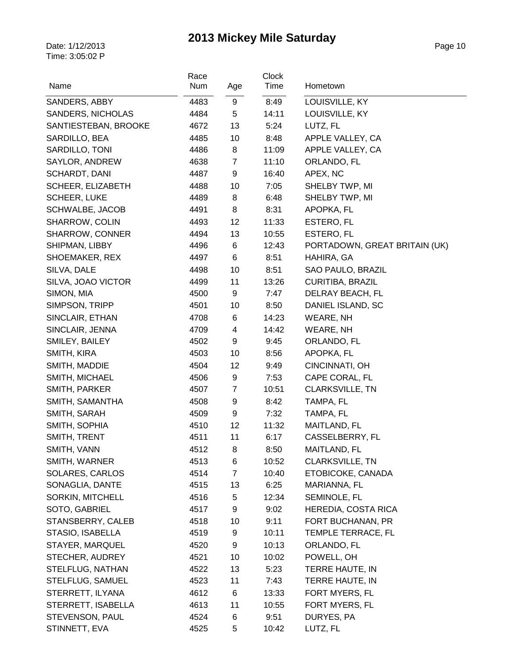| Name                            | Race<br>Num  | Age            | Clock<br>Time | Hometown                      |
|---------------------------------|--------------|----------------|---------------|-------------------------------|
|                                 |              |                |               |                               |
| SANDERS, ABBY                   | 4483         | 9              | 8:49          | LOUISVILLE, KY                |
| <b>SANDERS, NICHOLAS</b>        | 4484         | 5              | 14:11         | LOUISVILLE, KY                |
| SANTIESTEBAN, BROOKE            | 4672         | 13             | 5:24          | LUTZ, FL                      |
| SARDILLO, BEA                   | 4485         | 10             | 8:48          | APPLE VALLEY, CA              |
| SARDILLO, TONI                  | 4486         | 8              | 11:09         | APPLE VALLEY, CA              |
| SAYLOR, ANDREW                  | 4638         | $\overline{7}$ | 11:10         | ORLANDO, FL                   |
| SCHARDT, DANI                   | 4487         | 9              | 16:40         | APEX, NC                      |
| SCHEER, ELIZABETH               | 4488         | 10             | 7:05          | SHELBY TWP, MI                |
| <b>SCHEER, LUKE</b>             | 4489         | 8              | 6:48          | SHELBY TWP, MI                |
| SCHWALBE, JACOB                 | 4491         | 8              | 8:31          | APOPKA, FL                    |
| SHARROW, COLIN                  | 4493         | 12             | 11:33         | ESTERO, FL                    |
| SHARROW, CONNER                 | 4494         | 13             | 10:55         | ESTERO, FL                    |
| SHIPMAN, LIBBY                  | 4496         | 6              | 12:43         | PORTADOWN, GREAT BRITAIN (UK) |
| SHOEMAKER, REX                  | 4497         | 6              | 8:51          | HAHIRA, GA                    |
| SILVA, DALE                     | 4498         | 10             | 8:51          | SAO PAULO, BRAZIL             |
| SILVA, JOAO VICTOR              | 4499         | 11             | 13:26         | <b>CURITIBA, BRAZIL</b>       |
| SIMON, MIA                      | 4500         | 9              | 7:47          | DELRAY BEACH, FL              |
| SIMPSON, TRIPP                  | 4501         | 10             | 8:50          | DANIEL ISLAND, SC             |
| SINCLAIR, ETHAN                 | 4708         | 6              | 14:23         | WEARE, NH                     |
| SINCLAIR, JENNA                 | 4709         | 4<br>9         | 14:42         | WEARE, NH                     |
| SMILEY, BAILEY                  | 4502         |                | 9:45          | ORLANDO, FL                   |
| SMITH, KIRA                     | 4503         | 10<br>12       | 8:56          | APOPKA, FL<br>CINCINNATI, OH  |
| SMITH, MADDIE<br>SMITH, MICHAEL | 4504<br>4506 | 9              | 9:49<br>7:53  | CAPE CORAL, FL                |
| SMITH, PARKER                   | 4507         | $\overline{7}$ | 10:51         | CLARKSVILLE, TN               |
| SMITH, SAMANTHA                 | 4508         | 9              | 8:42          | TAMPA, FL                     |
| SMITH, SARAH                    | 4509         | 9              | 7:32          | TAMPA, FL                     |
| SMITH, SOPHIA                   | 4510         | 12             | 11:32         | MAITLAND, FL                  |
| SMITH, TRENT                    | 4511         | 11             | 6:17          | CASSELBERRY, FL               |
| SMITH, VANN                     | 4512         | 8              | 8:50          | MAITLAND, FL                  |
| SMITH, WARNER                   | 4513         | 6              | 10:52         | CLARKSVILLE, TN               |
| SOLARES, CARLOS                 | 4514         | $\overline{7}$ | 10:40         | ETOBICOKE, CANADA             |
| SONAGLIA, DANTE                 | 4515         | 13             | 6:25          | MARIANNA, FL                  |
| SORKIN, MITCHELL                | 4516         | 5              | 12:34         | SEMINOLE, FL                  |
| SOTO, GABRIEL                   | 4517         | 9              | 9:02          | HEREDIA, COSTA RICA           |
| STANSBERRY, CALEB               | 4518         | 10             | 9:11          | FORT BUCHANAN, PR             |
| STASIO, ISABELLA                | 4519         | 9              | 10:11         | TEMPLE TERRACE, FL            |
| STAYER, MARQUEL                 | 4520         | 9              | 10:13         | ORLANDO, FL                   |
| STECHER, AUDREY                 | 4521         | 10             | 10:02         | POWELL, OH                    |
| STELFLUG, NATHAN                | 4522         | 13             | 5:23          | TERRE HAUTE, IN               |
| STELFLUG, SAMUEL                | 4523         | 11             | 7:43          | TERRE HAUTE, IN               |
| STERRETT, ILYANA                | 4612         | 6              | 13:33         | FORT MYERS, FL                |
| STERRETT, ISABELLA              | 4613         | 11             | 10:55         | FORT MYERS, FL                |
| STEVENSON, PAUL                 | 4524         | 6              | 9:51          | DURYES, PA                    |
| STINNETT, EVA                   | 4525         | 5              | 10:42         | LUTZ, FL                      |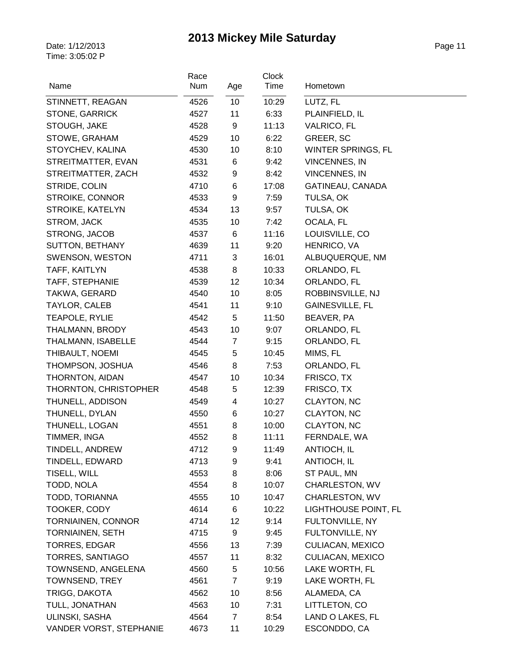|                           | Race |                | Clock |                             |
|---------------------------|------|----------------|-------|-----------------------------|
| Name                      | Num  | Age            | Time  | Hometown                    |
| STINNETT, REAGAN          | 4526 | 10             | 10:29 | LUTZ, FL                    |
| <b>STONE, GARRICK</b>     | 4527 | 11             | 6:33  | PLAINFIELD, IL              |
| STOUGH, JAKE              | 4528 | 9              | 11:13 | <b>VALRICO, FL</b>          |
| STOWE, GRAHAM             | 4529 | 10             | 6:22  | GREER, SC                   |
| STOYCHEV, KALINA          | 4530 | 10             | 8:10  | WINTER SPRINGS, FL          |
| STREITMATTER, EVAN        | 4531 | 6              | 9:42  | <b>VINCENNES, IN</b>        |
| STREITMATTER, ZACH        | 4532 | 9              | 8:42  | <b>VINCENNES, IN</b>        |
| STRIDE, COLIN             | 4710 | 6              | 17:08 | GATINEAU, CANADA            |
| STROIKE, CONNOR           | 4533 | 9              | 7:59  | TULSA, OK                   |
| STROIKE, KATELYN          | 4534 | 13             | 9:57  | TULSA, OK                   |
| STROM, JACK               | 4535 | 10             | 7:42  | OCALA, FL                   |
| STRONG, JACOB             | 4537 | 6              | 11:16 | LOUISVILLE, CO              |
| SUTTON, BETHANY           | 4639 | 11             | 9:20  | HENRICO, VA                 |
| <b>SWENSON, WESTON</b>    | 4711 | 3              | 16:01 | ALBUQUERQUE, NM             |
| TAFF, KAITLYN             | 4538 | 8              | 10:33 | ORLANDO, FL                 |
| TAFF, STEPHANIE           | 4539 | 12             | 10:34 | ORLANDO, FL                 |
| TAKWA, GERARD             | 4540 | 10             | 8:05  | ROBBINSVILLE, NJ            |
| TAYLOR, CALEB             | 4541 | 11             | 9:10  | <b>GAINESVILLE, FL</b>      |
| TEAPOLE, RYLIE            | 4542 | 5              | 11:50 | BEAVER, PA                  |
| THALMANN, BRODY           | 4543 | 10             | 9:07  | ORLANDO, FL                 |
| THALMANN, ISABELLE        | 4544 | $\overline{7}$ | 9:15  | ORLANDO, FL                 |
| THIBAULT, NOEMI           | 4545 | 5              | 10:45 | MIMS, FL                    |
| THOMPSON, JOSHUA          | 4546 | 8              | 7:53  | ORLANDO, FL                 |
| THORNTON, AIDAN           | 4547 | 10             | 10:34 | FRISCO, TX                  |
| THORNTON, CHRISTOPHER     | 4548 | 5              | 12:39 | FRISCO, TX                  |
| THUNELL, ADDISON          | 4549 | 4              | 10:27 | CLAYTON, NC                 |
| THUNELL, DYLAN            | 4550 | 6              | 10:27 | CLAYTON, NC                 |
| THUNELL, LOGAN            | 4551 | 8              | 10:00 | CLAYTON, NC                 |
| TIMMER, INGA              | 4552 | 8              | 11:11 | FERNDALE, WA                |
| TINDELL, ANDREW           | 4712 | 9              | 11:49 | ANTIOCH, IL                 |
| TINDELL, EDWARD           | 4713 | 9              | 9:41  | ANTIOCH, IL                 |
| TISELL, WILL              | 4553 | 8              | 8:06  | ST PAUL, MN                 |
| TODD, NOLA                | 4554 | 8              | 10:07 | CHARLESTON, WV              |
| TODD, TORIANNA            | 4555 | 10             | 10:47 | CHARLESTON, WV              |
| TOOKER, CODY              | 4614 | 6              | 10:22 | <b>LIGHTHOUSE POINT, FL</b> |
| <b>TORNIAINEN, CONNOR</b> | 4714 | 12             | 9:14  | FULTONVILLE, NY             |
| <b>TORNIAINEN, SETH</b>   | 4715 | 9              | 9:45  | FULTONVILLE, NY             |
| <b>TORRES, EDGAR</b>      | 4556 | 13             | 7:39  | <b>CULIACAN, MEXICO</b>     |
| TORRES, SANTIAGO          | 4557 | 11             | 8:32  | CULIACAN, MEXICO            |
| TOWNSEND, ANGELENA        | 4560 | 5              | 10:56 | LAKE WORTH, FL              |
| <b>TOWNSEND, TREY</b>     | 4561 | $\overline{7}$ | 9:19  | LAKE WORTH, FL              |
| TRIGG, DAKOTA             | 4562 | 10             | 8:56  | ALAMEDA, CA                 |
| TULL, JONATHAN            | 4563 | 10             | 7:31  | LITTLETON, CO               |
| ULINSKI, SASHA            | 4564 | $\overline{7}$ | 8:54  | LAND O LAKES, FL            |
| VANDER VORST, STEPHANIE   | 4673 | 11             | 10:29 | ESCONDDO, CA                |